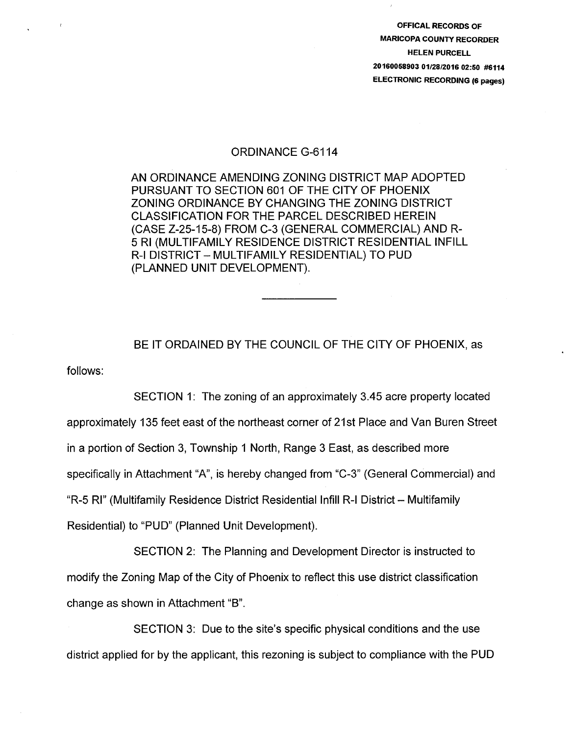OFFICAL RECORDS OF MARICOPA COUNTY RECORDER HELEN PURCELL 20160058903 01/28/2016 02:50 #6114 ELECTRONIC RECORDING (6 pages)

## ORDINANCE G-6114

AN ORDINANCE AMENDING ZONING DISTRICT MAP ADOPTED PURSUANT TO SECTION 601 OF THE CITY OF PHOENIX ZONING ORDINANCE BY CHANGING THE ZONING DISTRICT CLASSIFICATION FOR THE PARCEL DESCRIBED HEREIN (CASE Z-25-15-8) FROM C-3 (GENERAL COMMERCIAL) AND R-5 Rl (MULTIFAMILY RESIDENCE DISTRICT RESIDENTIAL INFILL R-1 DISTRICT- MULTIFAMILY RESIDENTIAL) TO PUD (PLANNED UNIT DEVELOPMENT).

follows: BE IT ORDAINED BY THE COUNCIL OF THE CITY OF PHOENIX, as

SECTION 1: The zoning of an approximately 3.45 acre property located approximately 135 feet east of the northeast corner of 21st Place and Van Buren Street in a portion of Section 3, Township 1 North, Range 3 East, as described more specifically in Attachment "A", is hereby changed from "C-3" (General Commercial) and "R-5 RI" (Multifamily Residence District Residential Infill R-I District - Multifamily Residential) to "PUD" (Planned Unit Development).

SECTION 2: The Planning and Development Director is instructed to modify the Zoning Map of the City of Phoenix to reflect this use district classification change as shown in Attachment "B".

SECTION 3: Due to the site's specific physical conditions and the use district applied for by the applicant, this rezoning is subject to compliance with the PUD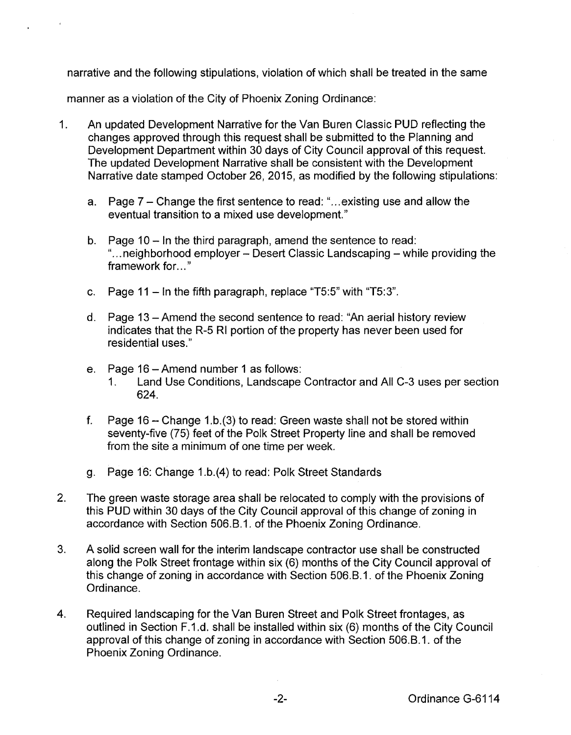narrative and the following stipulations, violation of which shall be treated in the same

manner as a violation of the City of Phoenix Zoning Ordinance:

- 1. An updated Development Narrative for the Van Buren Classic PUD reflecting the changes approved through this request shall be submitted to the Planning and Development Department within 30 days of City Council approval of this request. The updated Development Narrative shall be consistent with the Development Narrative date stamped October 26, 2015, as modified by the following stipulations:
	- a. Page 7- Change the first sentence to read: " ... existing use and allow the eventual transition to a mixed use development."
	- b. Page 10 In the third paragraph, amend the sentence to read: "... neighborhood employer – Desert Classic Landscaping – while providing the framework for..."
	- c. Page  $11 \ln \text{the fifth paragraph}$ , replace "T5:5" with "T5:3".
	- d. Page 13-Amend the second sentence to read: "An aerial history review indicates that the R-5 Rl portion of the property has never been used for residential uses."
	- e. Page 16-Amend number 1 as follows:
		- 1. Land Use Conditions, Landscape Contractor and All C-3 uses per section 624.
	- f. Page  $16$  Change 1.b.(3) to read: Green waste shall not be stored within seventy-five (75) feet of the Polk Street Property line and shall be removed from the site a minimum of one time per week.
	- g. Page 16: Change 1.b.(4) to read: Polk Street Standards
- 2. The green waste storage area shall be relocated to comply with the provisions of this PUD within 30 days of the City Council approval of this change of zoning in accordance with Section 506.B.1. of the Phoenix Zoning Ordinance.
- 3. A solid screen wall for the interim landscape contractor use shall be constructed along the Polk Street frontage within six (6) months of the City Council approval of this change of zoning in accordance with Section 506.B.1. of the Phoenix Zoning Ordinance.
- 4. Required landscaping for the Van Buren Street and Polk Street frontages, as outlined in Section F.1.d. shall be installed within six (6) months of the City Council approval of this change of zoning in accordance with Section 506.B.1. of the Phoenix Zoning Ordinance.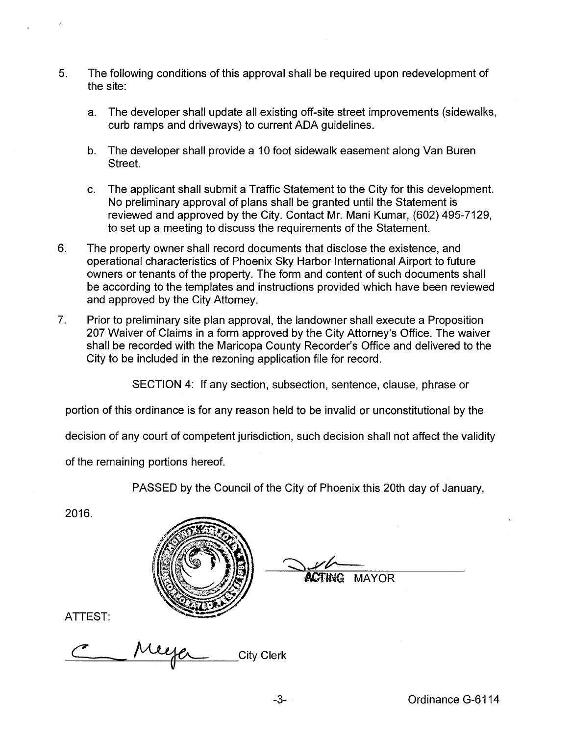- 5. The following conditions of this approval shall be required upon redevelopment of the site:
	- a. The developer shall update all existing off-site street improvements (sidewalks, curb ramps and driveways) to current ADA guidelines.
	- b. The developer shall provide a 10 foot sidewalk easement along Van Buren Street.
	- c. The applicant shall submit a Traffic Statement to the City for this development. No preliminary approval of plans shall be granted until the Statement is reviewed and approved by the City. Contact Mr. Mani Kumar, (602) 495-7129, to set up a meeting to discuss the requirements of the Statement.
- 6. The property owner shall record documents that disclose the existence, and operational characteristics of Phoenix Sky Harbor International Airport to future owners or tenants of the property. The form and content of such documents shall be according to the templates and instructions provided which have been reviewed and approved by the City Attorney.
- 7. Prior to preliminary site plan approval, the landowner shall execute a Proposition 207 Waiver of Claims in a form approved by the City Attorney's Office. The waiver shall be recorded with the Maricopa County Recorder's Office and delivered to the City to be included in the rezoning application file for record.

SECTION 4: If any section, subsection, sentence, clause, phrase or

portion of this ordinance is for any reason held to be invalid or unconstitutional by the

decision of any court of competent jurisdiction, such decision shall not affect the validity

of the remaining portions hereof.

PASSED by the Council of the City of Phoenix this 20th day of January,

2016.



**TING MAYOR** 

ATTEST:

City Clerk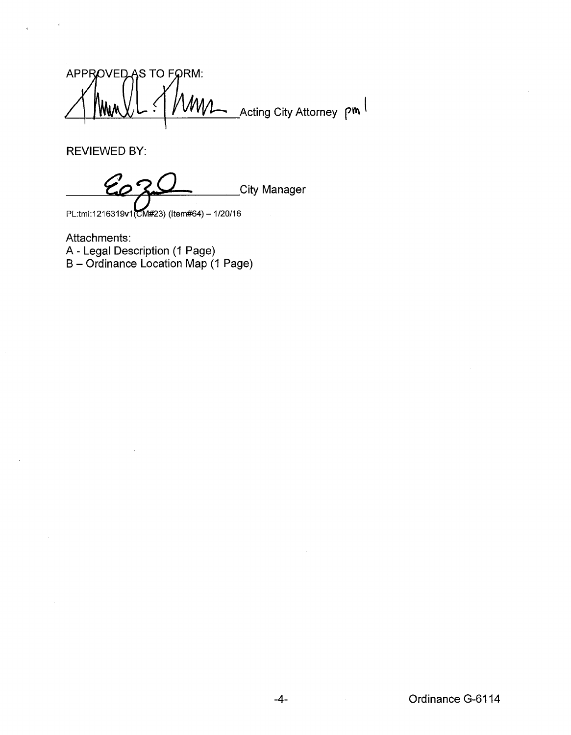APPROVED AS TO FORM: WWL Acting City Attorney pm 'Ww

REVIEWED BY:

 $\mathcal{E}_{\mathcal{L}}$ **City Manager** 

PL:tml:1216319v1(CM#23) (Item#64) - 1/20/16

Attachments: A- Legal Description (1 Page) B – Ordinance Location Map (1 Page)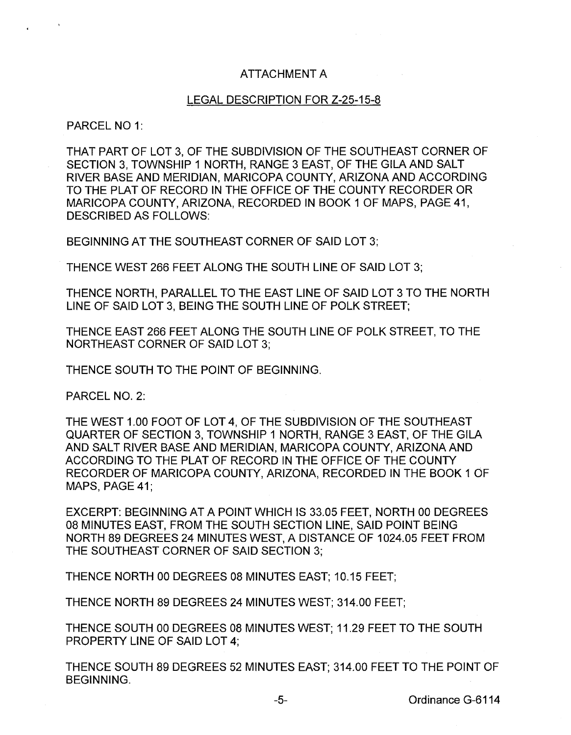## ATTACHMENT A

## LEGAL DESCRIPTION FOR Z-25-15-8

PARCEL NO 1:

THAT PART OF LOT 3, OF THE SUBDIVISION OF THE SOUTHEAST CORNER OF SECTION 3, TOWNSHIP 1 NORTH, RANGE 3 EAST, OF THE GILA AND SALT RIVER BASE AND MERIDIAN, MARICOPA COUNTY, ARIZONA AND ACCORDING TO THE PLAT OF RECORD IN THE OFFICE OF THE COUNTY RECORDER OR MARICOPA COUNTY, ARIZONA, RECORDED IN BOOK 1 OF MAPS, PAGE 41, DESCRIBED AS FOLLOWS:

BEGINNING AT THE SOUTHEAST CORNER OF SAID LOT 3;

THENCE WEST 266 FEET ALONG THE SOUTH LINE OF SAID LOT 3;

THENCE NORTH, PARALLEL TO THE EAST LINE OF SAID LOT 3 TO THE NORTH LINE OF SAID LOT 3, BEING THE SOUTH LINE OF POLK STREET;

THENCE EAST 266 FEET ALONG THE SOUTH LINE OF POLK STREET, TO THE NORTHEAST CORNER OF SAID LOT 3;

THENCE SOUTH TO THE POINT OF BEGINNING.

PARCEL NO. 2:

THE WEST 1.00 FOOT OF LOT 4, OF THE SUBDIVISION OF THE SOUTHEAST QUARTER OF SECTION 3, TOWNSHIP 1 NORTH, RANGE 3 EAST, OF THE GILA AND SALT RIVER BASE AND MERIDIAN, MARICOPA COUNTY, ARIZONA AND ACCORDING TO THE PLAT OF RECORD IN THE OFFICE OF THE COUNTY RECORDER OF MARICOPA COUNTY, ARIZONA, RECORDED IN THE BOOK 1 OF MAPS, PAGE 41;

EXCERPT: BEGINNING AT A POINT WHICH IS 33.05 FEET, NORTH 00 DEGREES 08 MINUTES EAST, FROM THE SOUTH SECTION LINE, SAID POINT BEING NORTH 89 DEGREES 24 MINUTES WEST, A DISTANCE OF 1024.05 FEET FROM THE SOUTHEAST CORNER OF SAID SECTION 3;

THENCE NORTH 00 DEGREES 08 MINUTES EAST; 10.15 FEET;

THENCE NORTH 89 DEGREES 24 MINUTES WEST; 314.00 FEET;

THENCE SOUTH 00 DEGREES 08 MINUTES WEST; 11.29 FEET TO THE SOUTH PROPERTY LINE OF SAID LOT 4;

THENCE SOUTH 89 DEGREES 52 MINUTES EAST; 314.00 FEET TO THE POINT OF BEGINNING.